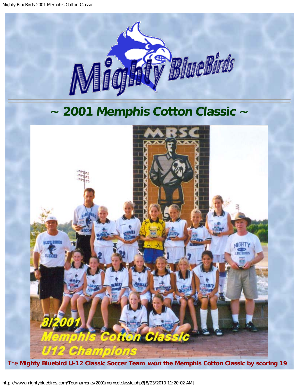<span id="page-0-0"></span>Mighty BlueBirds 2001 Memphis Cotton Classic



## **~ 2001 Memphis Cotton Classic ~**

<span id="page-0-1"></span>